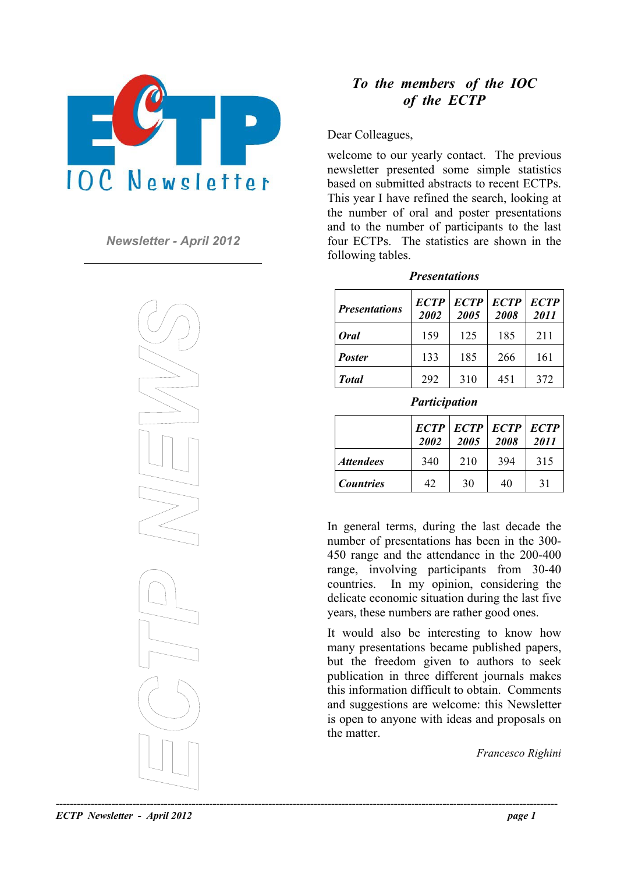

*Newsletter - April 2012* 



## *To the members of the IOC of the ECTP*

Dear Colleagues,

welcome to our yearly contact. The previous newsletter presented some simple statistics based on submitted abstracts to recent ECTPs. This year I have refined the search, looking at the number of oral and poster presentations and to the number of participants to the last four ECTPs. The statistics are shown in the following tables.

| <b>Presentations</b> |
|----------------------|
|----------------------|

| <b>Presentations</b> | <b>ECTP</b><br>2002 | <b>ECTP</b><br>2005 | <b>ECTP</b><br>2008 | <b>ECTP</b><br><i>2011</i> |
|----------------------|---------------------|---------------------|---------------------|----------------------------|
| <b>Oral</b>          | 159                 | 125                 | 185                 | 211                        |
| <b>Poster</b>        | 133                 | 185                 | 266                 | 161                        |
| <b>Total</b>         | 292                 | 310                 | 451                 | 372                        |

*Participation* 

|                         | 2002 | $ECTP$ $ECTP$ $ ECTP$ $ ECTP$ $ ECTP$<br>2005 | 2008 | 2011 |
|-------------------------|------|-----------------------------------------------|------|------|
| <i><b>Attendees</b></i> | 340  | 210                                           | 394  | 315  |
| <b>Countries</b>        | 42   | 30                                            | 40   | 31   |

In general terms, during the last decade the number of presentations has been in the 300- 450 range and the attendance in the 200-400 range, involving participants from 30-40 countries. In my opinion, considering the delicate economic situation during the last five years, these numbers are rather good ones.

It would also be interesting to know how many presentations became published papers, but the freedom given to authors to seek publication in three different journals makes this information difficult to obtain. Comments and suggestions are welcome: this Newsletter is open to anyone with ideas and proposals on the matter.

*Francesco Righini* 

*ECTP Newsletter - April 2012 page 1*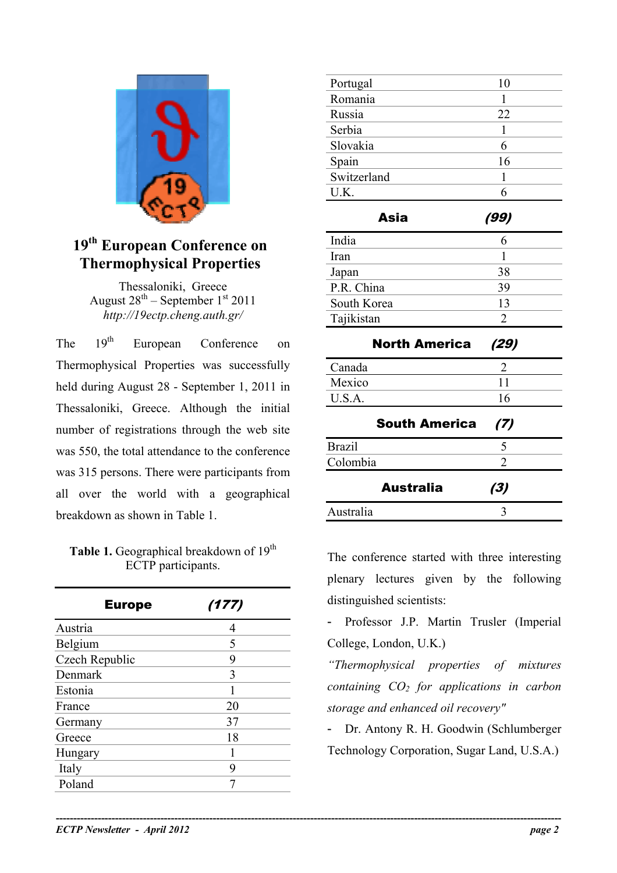

## **19th European Conference on Thermophysical Properties**

Thessaloniki, Greece August  $28^{th}$  – September  $1^{st}$  2011 *http://19ectp.cheng.auth.gr/* 

The 19<sup>th</sup> European Conference on Thermophysical Properties was successfully held during August 28 - September 1, 2011 in Thessaloniki, Greece. Although the initial number of registrations through the web site was 550, the total attendance to the conference was 315 persons. There were participants from all over the world with a geographical breakdown as shown in Table 1.

## **Table 1.** Geographical breakdown of 19<sup>th</sup> ECTP participants.

| <b>Europe</b>  | (177) |
|----------------|-------|
| Austria        | 4     |
| Belgium        | 5     |
| Czech Republic | 9     |
| Denmark        | 3     |
| Estonia        |       |
| France         | 20    |
| Germany        | 37    |
| Greece         | 18    |
| Hungary        |       |
| Italy          | 9     |
| Poland         | 7     |

| Portugal                    | 10             |  |
|-----------------------------|----------------|--|
| Romania                     | 1              |  |
| Russia                      | 22             |  |
| Serbia                      | $\mathbf{1}$   |  |
| Slovakia                    | 6              |  |
| Spain                       | 16             |  |
| Switzerland                 | 1              |  |
| U.K.                        | 6              |  |
| Asia                        | (99)           |  |
| India                       | 6              |  |
| Iran                        | 1              |  |
| Japan                       | 38             |  |
| P.R. China                  | 39             |  |
| South Korea                 | 13             |  |
| Tajikistan                  | $\overline{2}$ |  |
| <b>North America</b>        | (29)           |  |
| Canada                      | 2              |  |
| Mexico                      | 11             |  |
| U.S.A.                      | 16             |  |
| <b>South America</b><br>(7) |                |  |
| <b>Brazil</b>               | 5              |  |
| Colombia                    | $\overline{2}$ |  |
| Australia                   | (3)            |  |
| Australia                   | 3              |  |

The conference started with three interesting plenary lectures given by the following distinguished scientists:

- Professor J.P. Martin Trusler (Imperial College, London, U.K.)

*"Thermophysical properties of mixtures containing CO<sub>2</sub> for applications in carbon storage and enhanced oil recovery"* 

- Dr. Antony R. H. Goodwin (Schlumberger Technology Corporation, Sugar Land, U.S.A.)